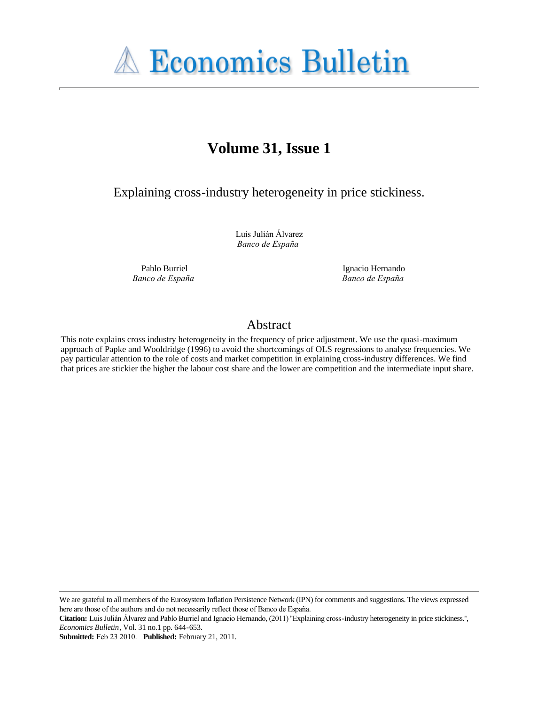

# **Volume 31, Issue 1**

Explaining cross-industry heterogeneity in price stickiness.

Luis Julián Álvarez *Banco de España*

Pablo Burriel *Banco de España*

Ignacio Hernando *Banco de España*

# Abstract

This note explains cross industry heterogeneity in the frequency of price adjustment. We use the quasi-maximum approach of Papke and Wooldridge (1996) to avoid the shortcomings of OLS regressions to analyse frequencies. We pay particular attention to the role of costs and market competition in explaining cross-industry differences. We find that prices are stickier the higher the labour cost share and the lower are competition and the intermediate input share.

We are grateful to all members of the Eurosystem Inflation Persistence Network (IPN) for comments and suggestions. The views expressed here are those of the authors and do not necessarily reflect those of Banco de España.

**Submitted:** Feb 23 2010. **Published:** February 21, 2011.

**Citation:** Luis Julián Álvarez and Pablo Burriel and Ignacio Hernando, (2011) ''Explaining cross-industry heterogeneity in price stickiness.'', *Economics Bulletin*, Vol. 31 no.1 pp. 644-653.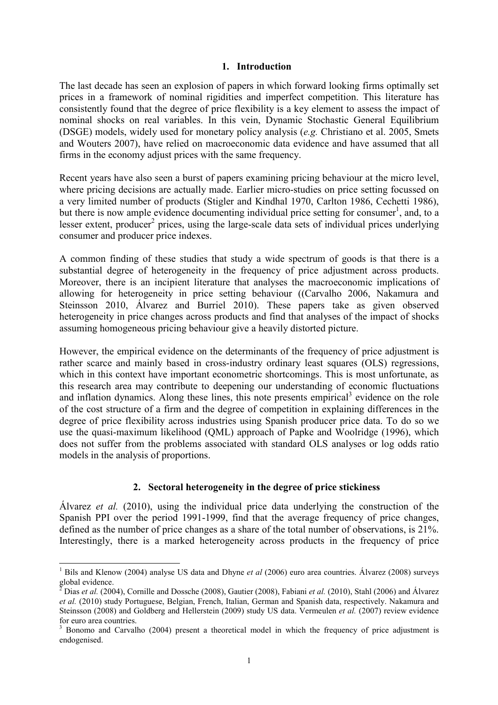#### 1. Introduction

The last decade has seen an explosion of papers in which forward looking firms optimally set prices in a framework of nominal rigidities and imperfect competition. This literature has consistently found that the degree of price flexibility is a key element to assess the impact of nominal shocks on real variables. In this vein, Dynamic Stochastic General Equilibrium (DSGE) models, widely used for monetary policy analysis (e.g. Christiano et al. 2005, Smets and Wouters 2007), have relied on macroeconomic data evidence and have assumed that all firms in the economy adjust prices with the same frequency.

Recent years have also seen a burst of papers examining pricing behaviour at the micro level, where pricing decisions are actually made. Earlier micro-studies on price setting focussed on a very limited number of products (Stigler and Kindhal 1970, Carlton 1986, Cechetti 1986), but there is now ample evidence documenting individual price setting for consumer<sup>1</sup>, and, to a lesser extent, producer<sup>2</sup> prices, using the large-scale data sets of individual prices underlying consumer and producer price indexes.

A common finding of these studies that study a wide spectrum of goods is that there is a substantial degree of heterogeneity in the frequency of price adjustment across products. Moreover, there is an incipient literature that analyses the macroeconomic implications of allowing for heterogeneity in price setting behaviour ((Carvalho 2006, Nakamura and Steinsson 2010, Álvarez and Burriel 2010). These papers take as given observed heterogeneity in price changes across products and find that analyses of the impact of shocks assuming homogeneous pricing behaviour give a heavily distorted picture.

However, the empirical evidence on the determinants of the frequency of price adjustment is rather scarce and mainly based in cross-industry ordinary least squares (OLS) regressions, which in this context have important econometric shortcomings. This is most unfortunate, as this research area may contribute to deepening our understanding of economic fluctuations and inflation dynamics. Along these lines, this note presents empirical<sup>3</sup> evidence on the role of the cost structure of a firm and the degree of competition in explaining differences in the degree of price flexibility across industries using Spanish producer price data. To do so we use the quasi-maximum likelihood (QML) approach of Papke and Woolridge (1996), which does not suffer from the problems associated with standard OLS analyses or log odds ratio models in the analysis of proportions.

# 2. Sectoral heterogeneity in the degree of price stickiness

Álvarez et al. (2010), using the individual price data underlying the construction of the Spanish PPI over the period 1991-1999, find that the average frequency of price changes, defined as the number of price changes as a share of the total number of observations, is 21%. Interestingly, there is a marked heterogeneity across products in the frequency of price

÷,

<sup>&</sup>lt;sup>1</sup> Bils and Klenow (2004) analyse US data and Dhyne et al (2006) euro area countries. Álvarez (2008) surveys global evidence.

<sup>&</sup>lt;sup>2</sup> Dias *et al.* (2004), Cornille and Dossche (2008), Gautier (2008), Fabiani *et al.* (2010), Stahl (2006) and Álvarez et al. (2010) study Portuguese, Belgian, French, Italian, German and Spanish data, respectively. Nakamura and Steinsson (2008) and Goldberg and Hellerstein (2009) study US data. Vermeulen et al. (2007) review evidence for euro area countries.

<sup>&</sup>lt;sup>3</sup> Bonomo and Carvalho (2004) present a theoretical model in which the frequency of price adjustment is endogenised.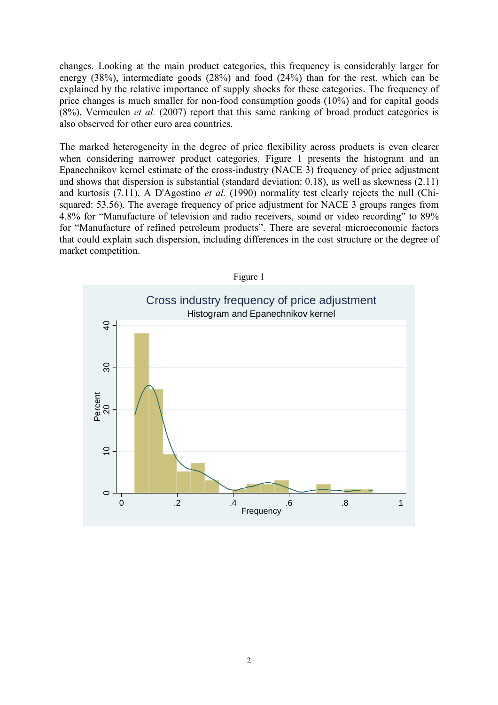changes. Looking at the main product categories, this frequency is considerably larger for energy (38%), intermediate goods (28%) and food (24%) than for the rest, which can be explained by the relative importance of supply shocks for these categories. The frequency of price changes is much smaller for non-food consumption goods (10%) and for capital goods (8%). Vermeulen et al. (2007) report that this same ranking of broad product categories is also observed for other euro area countries.

The marked heterogeneity in the degree of price flexibility across products is even clearer when considering narrower product categories. Figure 1 presents the histogram and an Epanechnikov kernel estimate of the cross-industry (NACE 3) frequency of price adjustment and shows that dispersion is substantial (standard deviation: 0.18), as well as skewness (2.11) and kurtosis (7.11). A D'Agostino et al. (1990) normality test clearly rejects the null (Chisquared: 53.56). The average frequency of price adjustment for NACE 3 groups ranges from 4.8% for "Manufacture of television and radio receivers, sound or video recording" to 89% for "Manufacture of refined petroleum products". There are several microeconomic factors that could explain such dispersion, including differences in the cost structure or the degree of market competition.

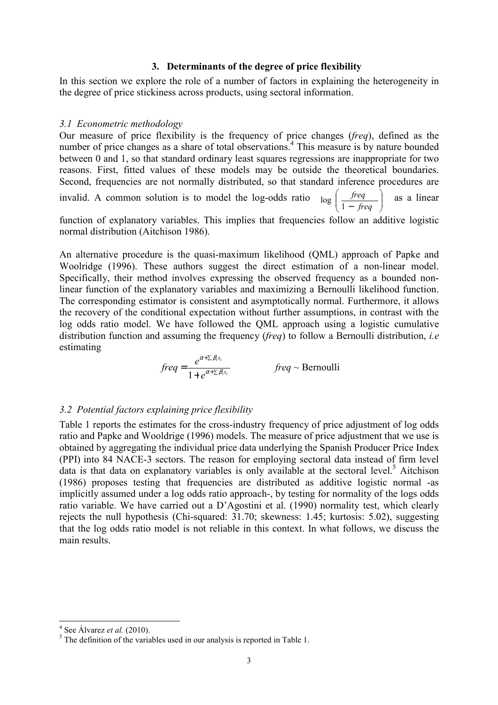#### 3. Determinants of the degree of price flexibility

In this section we explore the role of a number of factors in explaining the heterogeneity in the degree of price stickiness across products, using sectoral information.

#### 3.1 Econometric methodology

Our measure of price flexibility is the frequency of price changes (freq), defined as the number of price changes as a share of total observations.<sup>4</sup> This measure is by nature bounded between 0 and 1, so that standard ordinary least squares regressions are inappropriate for two reasons. First, fitted values of these models may be outside the theoretical boundaries. Second, frequencies are not normally distributed, so that standard inference procedures are invalid. A common solution is to model the log-odds ratio  $\overline{1}$ J )  $\overline{\phantom{a}}$ ∖ ſ − freq freq  $\log \left( \frac{freq}{1 - freq} \right)$  as a linear function of explanatory variables. This implies that frequencies follow an additive logistic

normal distribution (Aitchison 1986).

An alternative procedure is the quasi-maximum likelihood (QML) approach of Papke and Woolridge (1996). These authors suggest the direct estimation of a non-linear model. Specifically, their method involves expressing the observed frequency as a bounded nonlinear function of the explanatory variables and maximizing a Bernoulli likelihood function. The corresponding estimator is consistent and asymptotically normal. Furthermore, it allows the recovery of the conditional expectation without further assumptions, in contrast with the log odds ratio model. We have followed the QML approach using a logistic cumulative distribution function and assuming the frequency (*freq*) to follow a Bernoulli distribution, *i.e* estimating

$$
freq = \frac{e^{\alpha + \sum \beta_i x_i}}{1 + e^{\alpha + \sum \beta_i x_i}} \qquad \qquad freq \sim \text{Bernoulli}
$$

### 3.2 Potential factors explaining price flexibility

Table 1 reports the estimates for the cross-industry frequency of price adjustment of log odds ratio and Papke and Wooldrige (1996) models. The measure of price adjustment that we use is obtained by aggregating the individual price data underlying the Spanish Producer Price Index (PPI) into 84 NACE-3 sectors. The reason for employing sectoral data instead of firm level data is that data on explanatory variables is only available at the sectoral level.<sup>5</sup> Aitchison (1986) proposes testing that frequencies are distributed as additive logistic normal -as implicitly assumed under a log odds ratio approach-, by testing for normality of the logs odds ratio variable. We have carried out a D'Agostini et al. (1990) normality test, which clearly rejects the null hypothesis (Chi-squared: 31.70; skewness: 1.45; kurtosis: 5.02), suggesting that the log odds ratio model is not reliable in this context. In what follows, we discuss the main results.

 $4$  See Álvarez *et al.* (2010).

 $<sup>5</sup>$  The definition of the variables used in our analysis is reported in Table 1.</sup>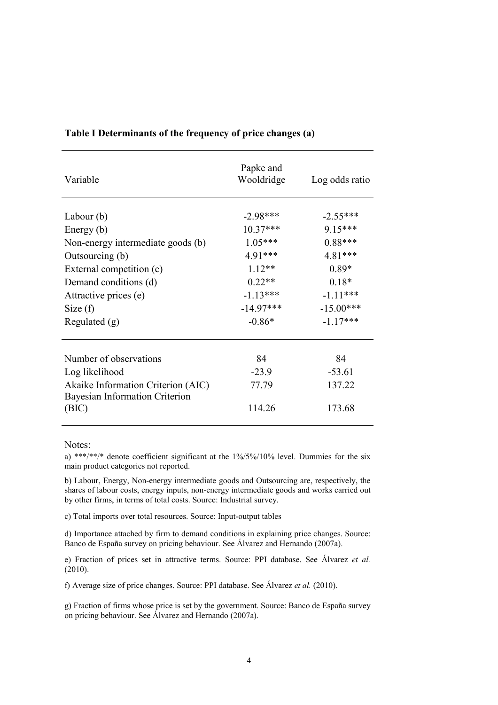| Variable                                | Papke and<br>Wooldridge | Log odds ratio |
|-----------------------------------------|-------------------------|----------------|
| Labour $(b)$                            | $-2.98***$              | $-2.55***$     |
| Energy $(b)$                            | $10.37***$              | $9.15***$      |
| Non-energy intermediate goods (b)       | $1.05***$               | $0.88***$      |
| Outsourcing (b)                         | 4.91***                 | 4.81***        |
| External competition (c)                | $1.12**$                | $0.89*$        |
| Demand conditions (d)                   | $0.22**$                | $0.18*$        |
| Attractive prices (e)                   | $-1.13***$              | $-1.11***$     |
| Size(f)                                 | $-14.97***$             | $-15.00***$    |
| Regulated $(g)$                         | $-0.86*$                | $-1.17***$     |
|                                         |                         |                |
| Number of observations                  | 84                      | 84             |
| Log likelihood                          | $-23.9$                 | $-53.61$       |
| Akaike Information Criterion (AIC)      | 77.79                   | 137.22         |
| Bayesian Information Criterion<br>(BIC) | 114.26                  | 173.68         |

# Table I Determinants of the frequency of price changes (a)

Notes:

a) \*\*\*/\*\*/\* denote coefficient significant at the 1%/5%/10% level. Dummies for the six main product categories not reported.

b) Labour, Energy, Non-energy intermediate goods and Outsourcing are, respectively, the shares of labour costs, energy inputs, non-energy intermediate goods and works carried out by other firms, in terms of total costs. Source: Industrial survey.

c) Total imports over total resources. Source: Input-output tables

d) Importance attached by firm to demand conditions in explaining price changes. Source: Banco de España survey on pricing behaviour. See Álvarez and Hernando (2007a).

e) Fraction of prices set in attractive terms. Source: PPI database. See Álvarez et al. (2010).

f) Average size of price changes. Source: PPI database. See Álvarez et al. (2010).

g) Fraction of firms whose price is set by the government. Source: Banco de España survey on pricing behaviour. See Álvarez and Hernando (2007a).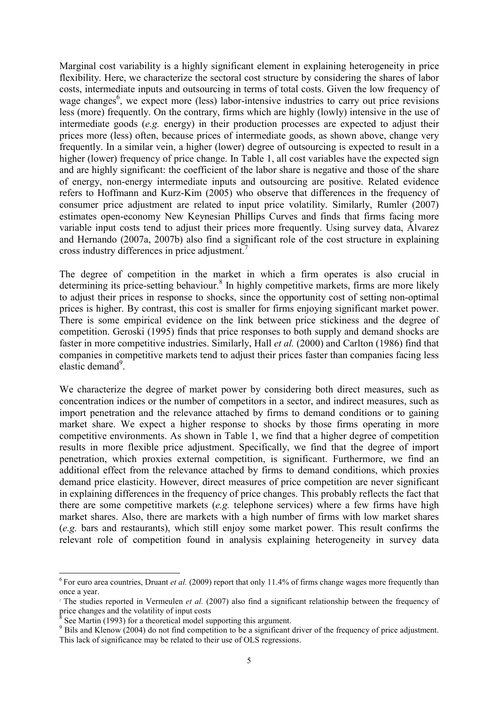Marginal cost variability is a highly significant element in explaining heterogeneity in price flexibility. Here, we characterize the sectoral cost structure by considering the shares of labor costs, intermediate inputs and outsourcing in terms of total costs. Given the low frequency of wage changes<sup>6</sup>, we expect more (less) labor-intensive industries to carry out price revisions less (more) frequently. On the contrary, firms which are highly (lowly) intensive in the use of intermediate goods (e.g. energy) in their production processes are expected to adjust their prices more (less) often, because prices of intermediate goods, as shown above, change very frequently. In a similar vein, a higher (lower) degree of outsourcing is expected to result in a higher (lower) frequency of price change. In Table 1, all cost variables have the expected sign and are highly significant: the coefficient of the labor share is negative and those of the share of energy, non-energy intermediate inputs and outsourcing are positive. Related evidence refers to Hoffmann and Kurz-Kim (2005) who observe that differences in the frequency of consumer price adjustment are related to input price volatility. Similarly, Rumler (2007) estimates open-economy New Keynesian Phillips Curves and finds that firms facing more variable input costs tend to adjust their prices more frequently. Using survey data, Álvarez and Hernando (2007a, 2007b) also find a significant role of the cost structure in explaining cross industry differences in price adjustment.<sup>7</sup>

The degree of competition in the market in which a firm operates is also crucial in determining its price-setting behaviour.<sup>8</sup> In highly competitive markets, firms are more likely to adjust their prices in response to shocks, since the opportunity cost of setting non-optimal prices is higher. By contrast, this cost is smaller for firms enjoying significant market power. There is some empirical evidence on the link between price stickiness and the degree of competition. Geroski (1995) finds that price responses to both supply and demand shocks are faster in more competitive industries. Similarly, Hall et al. (2000) and Carlton (1986) find that companies in competitive markets tend to adjust their prices faster than companies facing less elastic demand<sup>9</sup>.

We characterize the degree of market power by considering both direct measures, such as concentration indices or the number of competitors in a sector, and indirect measures, such as import penetration and the relevance attached by firms to demand conditions or to gaining market share. We expect a higher response to shocks by those firms operating in more competitive environments. As shown in Table 1, we find that a higher degree of competition results in more flexible price adjustment. Specifically, we find that the degree of import penetration, which proxies external competition, is significant. Furthermore, we find an additional effect from the relevance attached by firms to demand conditions, which proxies demand price elasticity. However, direct measures of price competition are never significant in explaining differences in the frequency of price changes. This probably reflects the fact that there are some competitive markets (e.g. telephone services) where a few firms have high market shares. Also, there are markets with a high number of firms with low market shares (e.g. bars and restaurants), which still enjoy some market power. This result confirms the relevant role of competition found in analysis explaining heterogeneity in survey data

i<br>L

 $6$  For euro area countries, Druant *et al.* (2009) report that only 11.4% of firms change wages more frequently than once a year.

<sup>&</sup>lt;sup>7</sup> The studies reported in Vermeulen *et al.* (2007) also find a significant relationship between the frequency of price changes and the volatility of input costs<br><sup>8</sup> See Mertin (1993) for a theoretical model sup

See Martin (1993) for a theoretical model supporting this argument.

<sup>&</sup>lt;sup>9</sup> Bils and Klenow (2004) do not find competition to be a significant driver of the frequency of price adjustment. This lack of significance may be related to their use of OLS regressions.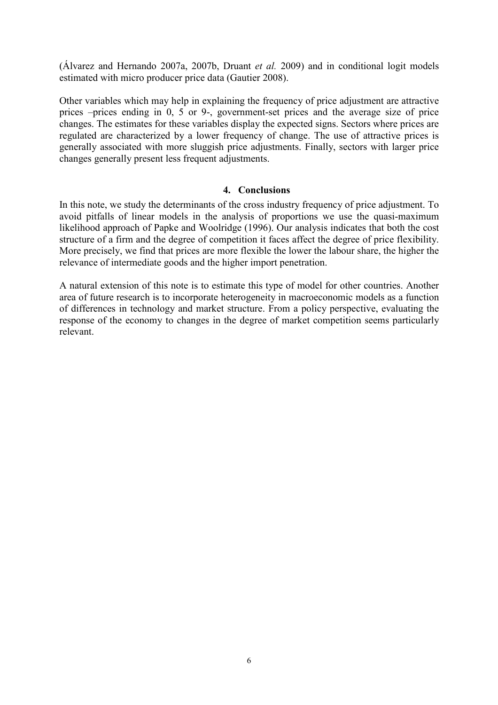$(A)$ varez and Hernando 2007a, 2007b, Druant *et al.* 2009) and in conditional logit models estimated with micro producer price data (Gautier 2008).

Other variables which may help in explaining the frequency of price adjustment are attractive prices –prices ending in 0, 5 or 9-, government-set prices and the average size of price changes. The estimates for these variables display the expected signs. Sectors where prices are regulated are characterized by a lower frequency of change. The use of attractive prices is generally associated with more sluggish price adjustments. Finally, sectors with larger price changes generally present less frequent adjustments.

# 4. Conclusions

In this note, we study the determinants of the cross industry frequency of price adjustment. To avoid pitfalls of linear models in the analysis of proportions we use the quasi-maximum likelihood approach of Papke and Woolridge (1996). Our analysis indicates that both the cost structure of a firm and the degree of competition it faces affect the degree of price flexibility. More precisely, we find that prices are more flexible the lower the labour share, the higher the relevance of intermediate goods and the higher import penetration.

A natural extension of this note is to estimate this type of model for other countries. Another area of future research is to incorporate heterogeneity in macroeconomic models as a function of differences in technology and market structure. From a policy perspective, evaluating the response of the economy to changes in the degree of market competition seems particularly relevant.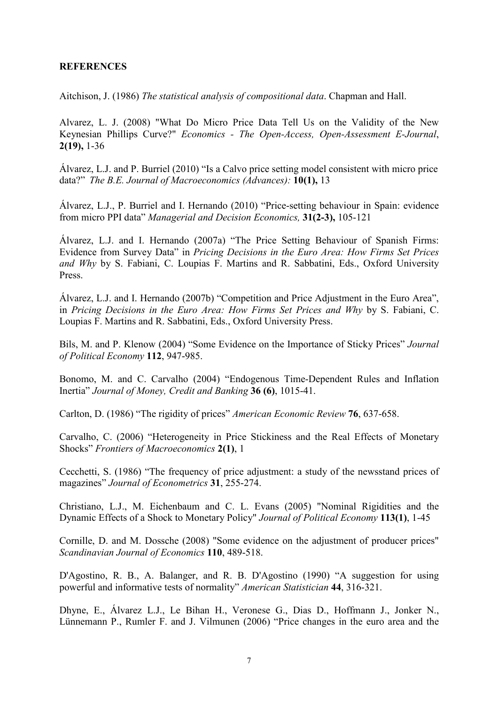# **REFERENCES**

Aitchison, J. (1986) The statistical analysis of compositional data. Chapman and Hall.

Alvarez, L. J. (2008) "What Do Micro Price Data Tell Us on the Validity of the New Keynesian Phillips Curve?" Economics - The Open-Access, Open-Assessment E-Journal, 2(19), 1-36

Álvarez, L.J. and P. Burriel (2010) "Is a Calvo price setting model consistent with micro price data?" The B.E. Journal of Macroeconomics (Advances): 10(1), 13

Álvarez, L.J., P. Burriel and I. Hernando (2010) "Price-setting behaviour in Spain: evidence from micro PPI data" Managerial and Decision Economics, 31(2-3), 105-121

Álvarez, L.J. and I. Hernando (2007a) "The Price Setting Behaviour of Spanish Firms: Evidence from Survey Data" in Pricing Decisions in the Euro Area: How Firms Set Prices and Why by S. Fabiani, C. Loupias F. Martins and R. Sabbatini, Eds., Oxford University Press.

Álvarez, L.J. and I. Hernando (2007b) "Competition and Price Adjustment in the Euro Area", in Pricing Decisions in the Euro Area: How Firms Set Prices and Why by S. Fabiani, C. Loupias F. Martins and R. Sabbatini, Eds., Oxford University Press.

Bils, M. and P. Klenow (2004) "Some Evidence on the Importance of Sticky Prices" Journal of Political Economy 112, 947-985.

Bonomo, M. and C. Carvalho (2004) "Endogenous Time-Dependent Rules and Inflation Inertia" Journal of Money, Credit and Banking 36 (6), 1015-41.

Carlton, D. (1986) "The rigidity of prices" American Economic Review 76, 637-658.

Carvalho, C. (2006) "Heterogeneity in Price Stickiness and the Real Effects of Monetary Shocks" Frontiers of Macroeconomics 2(1), 1

Cecchetti, S. (1986) "The frequency of price adjustment: a study of the newsstand prices of magazines" Journal of Econometrics 31, 255-274.

Christiano, L.J., M. Eichenbaum and C. L. Evans (2005) "Nominal Rigidities and the Dynamic Effects of a Shock to Monetary Policy" Journal of Political Economy 113(1), 1-45

Cornille, D. and M. Dossche (2008) "Some evidence on the adjustment of producer prices" Scandinavian Journal of Economics 110, 489-518.

D'Agostino, R. B., A. Balanger, and R. B. D'Agostino (1990) "A suggestion for using powerful and informative tests of normality" American Statistician 44, 316-321.

Dhyne, E., Álvarez L.J., Le Bihan H., Veronese G., Dias D., Hoffmann J., Jonker N., Lünnemann P., Rumler F. and J. Vilmunen (2006) "Price changes in the euro area and the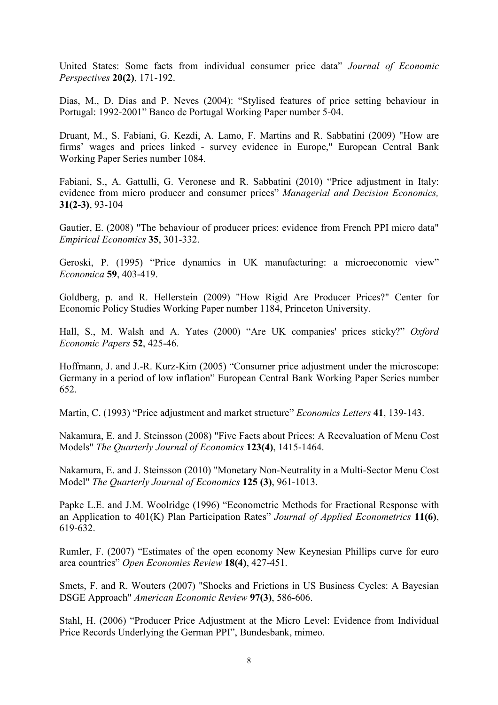United States: Some facts from individual consumer price data" Journal of Economic Perspectives 20(2), 171-192.

Dias, M., D. Dias and P. Neves (2004): "Stylised features of price setting behaviour in Portugal: 1992-2001" Banco de Portugal Working Paper number 5-04.

Druant, M., S. Fabiani, G. Kezdi, A. Lamo, F. Martins and R. Sabbatini (2009) "How are firms' wages and prices linked - survey evidence in Europe," European Central Bank Working Paper Series number 1084.

Fabiani, S., A. Gattulli, G. Veronese and R. Sabbatini (2010) "Price adjustment in Italy: evidence from micro producer and consumer prices" Managerial and Decision Economics, 31(2-3), 93-104

Gautier, E. (2008) "The behaviour of producer prices: evidence from French PPI micro data" Empirical Economics 35, 301-332.

Geroski, P. (1995) "Price dynamics in UK manufacturing: a microeconomic view" Economica 59, 403-419.

Goldberg, p. and R. Hellerstein (2009) "How Rigid Are Producer Prices?" Center for Economic Policy Studies Working Paper number 1184, Princeton University.

Hall, S., M. Walsh and A. Yates (2000) "Are UK companies' prices sticky?" Oxford Economic Papers 52, 425-46.

Hoffmann, J. and J.-R. Kurz-Kim (2005) "Consumer price adjustment under the microscope: Germany in a period of low inflation" European Central Bank Working Paper Series number 652.

Martin, C. (1993) "Price adjustment and market structure" *Economics Letters* 41, 139-143.

Nakamura, E. and J. Steinsson (2008) "Five Facts about Prices: A Reevaluation of Menu Cost Models" The Quarterly Journal of Economics 123(4), 1415-1464.

Nakamura, E. and J. Steinsson (2010) "Monetary Non-Neutrality in a Multi-Sector Menu Cost Model" The Quarterly Journal of Economics 125 (3), 961-1013.

Papke L.E. and J.M. Woolridge (1996) "Econometric Methods for Fractional Response with an Application to  $401(K)$  Plan Participation Rates" Journal of Applied Econometrics 11(6), 619-632.

Rumler, F. (2007) "Estimates of the open economy New Keynesian Phillips curve for euro area countries" Open Economies Review 18(4), 427-451.

Smets, F. and R. Wouters (2007) "Shocks and Frictions in US Business Cycles: A Bayesian DSGE Approach" American Economic Review 97(3), 586-606.

Stahl, H. (2006) "Producer Price Adjustment at the Micro Level: Evidence from Individual Price Records Underlying the German PPI", Bundesbank, mimeo.